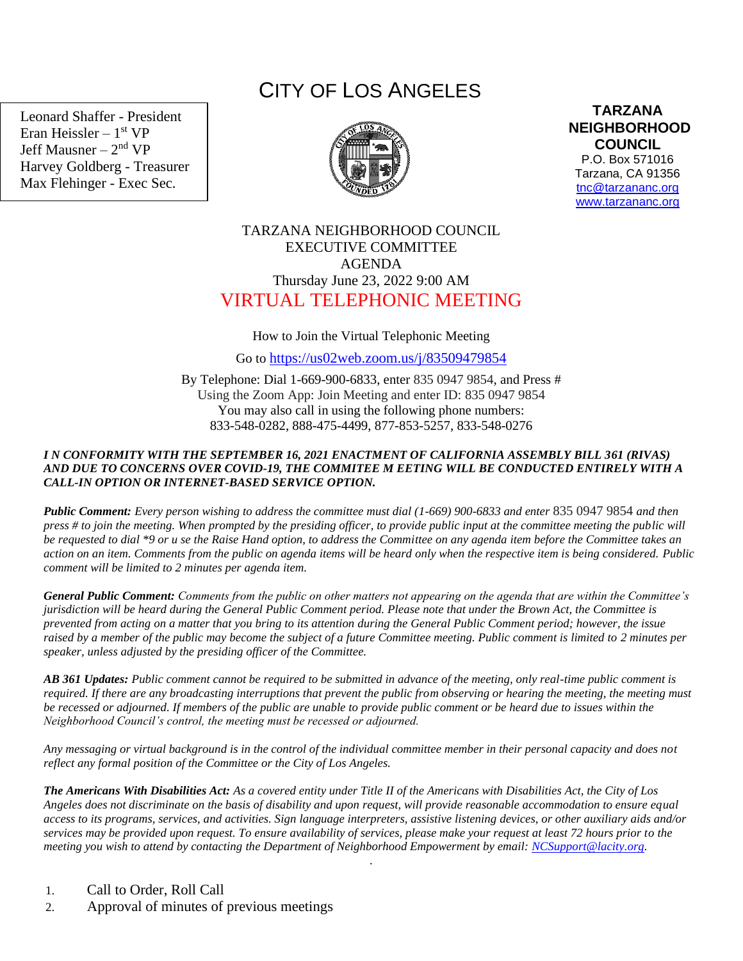Leonard Shaffer - President Eran Heissler – 1<sup>st</sup> VP Jeff Mausner – 2<sup>nd</sup> VP Harvey Goldberg - Treasurer Max Flehinger - Exec Sec.

# CITY OF LOS ANGELES



**TARZANA NEIGHBORHOOD COUNCIL** 

P.O. Box 571016 Tarzana, CA 91356 [tnc@tarzananc.org](mailto:tnc@tarzananc.org) [www.tarzananc.org](http://www.tarzananc.org/)

## TARZANA NEIGHBORHOOD COUNCIL EXECUTIVE COMMITTEE AGENDA Thursday June 23, 2022 9:00 AM VIRTUAL TELEPHONIC MEETING

### How to Join the Virtual Telephonic Meeting

Go to <https://us02web.zoom.us/j/83509479854>

By Telephone: Dial 1-669-900-6833, enter 835 0947 9854, and Press # Using the Zoom App: Join Meeting and enter ID: 835 0947 9854 You may also call in using the following phone numbers: 833-548-0282, 888-475-4499, 877-853-5257, 833-548-0276

#### *I N CONFORMITY WITH THE SEPTEMBER 16, 2021 ENACTMENT OF CALIFORNIA ASSEMBLY BILL 361 (RIVAS) AND DUE TO CONCERNS OVER COVID-19, THE COMMITEE M EETING WILL BE CONDUCTED ENTIRELY WITH A CALL-IN OPTION OR INTERNET-BASED SERVICE OPTION.*

*Public Comment: Every person wishing to address the committee must dial (1-669) 900-6833 and enter* 835 0947 9854 *and then press # to join the meeting. When prompted by the presiding officer, to provide public input at the committee meeting the public will be requested to dial \*9 or u se the Raise Hand option, to address the Committee on any agenda item before the Committee takes an action on an item. Comments from the public on agenda items will be heard only when the respective item is being considered. Public comment will be limited to 2 minutes per agenda item.*

*General Public Comment: Comments from the public on other matters not appearing on the agenda that are within the Committee's jurisdiction will be heard during the General Public Comment period. Please note that under the Brown Act, the Committee is prevented from acting on a matter that you bring to its attention during the General Public Comment period; however, the issue raised by a member of the public may become the subject of a future Committee meeting. Public comment is limited to 2 minutes per speaker, unless adjusted by the presiding officer of the Committee.*

*AB 361 Updates: Public comment cannot be required to be submitted in advance of the meeting, only real-time public comment is required. If there are any broadcasting interruptions that prevent the public from observing or hearing the meeting, the meeting must be recessed or adjourned. If members of the public are unable to provide public comment or be heard due to issues within the Neighborhood Council's control, the meeting must be recessed or adjourned.*

*Any messaging or virtual background is in the control of the individual committee member in their personal capacity and does not reflect any formal position of the Committee or the City of Los Angeles.*

*The Americans With Disabilities Act: As a covered entity under Title II of the Americans with Disabilities Act, the City of Los Angeles does not discriminate on the basis of disability and upon request, will provide reasonable accommodation to ensure equal access to its programs, services, and activities. Sign language interpreters, assistive listening devices, or other auxiliary aids and/or services may be provided upon request. To ensure availability of services, please make your request at least 72 hours prior to the meeting you wish to attend by contacting the Department of Neighborhood Empowerment by email: [NCSupport@lacity.org.](mailto:NCSupport@lacity.org)*

.

- 1. Call to Order, Roll Call
- 2. Approval of minutes of previous meetings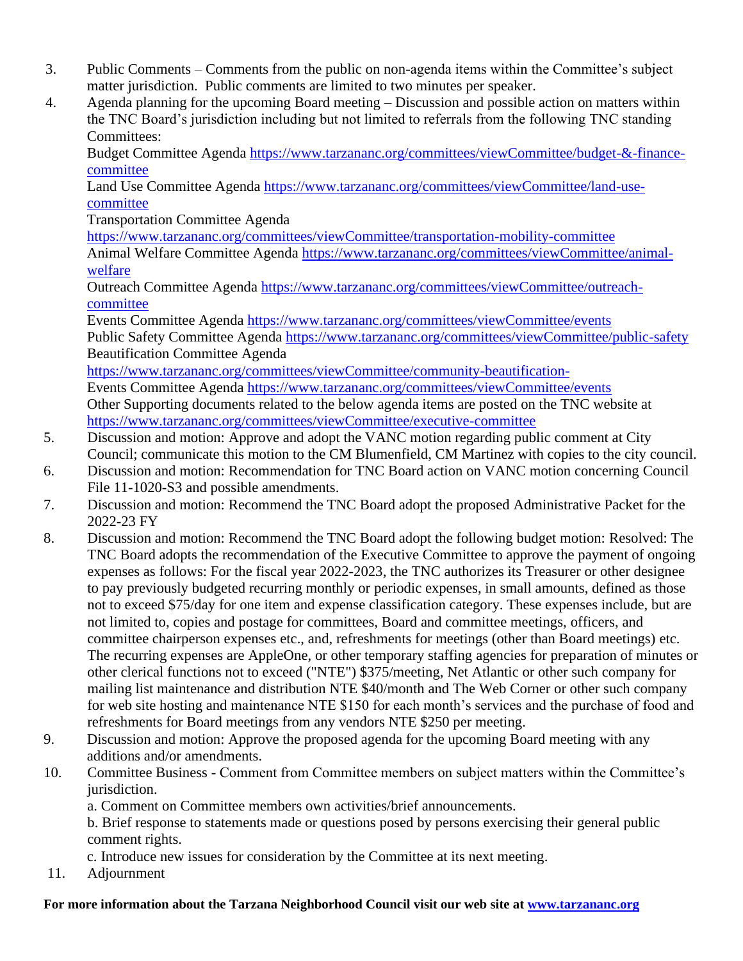- 3. Public Comments Comments from the public on non-agenda items within the Committee's subject matter jurisdiction. Public comments are limited to two minutes per speaker.
- 4. Agenda planning for the upcoming Board meeting Discussion and possible action on matters within the TNC Board's jurisdiction including but not limited to referrals from the following TNC standing Committees:

Budget Committee Agenda [https://www.tarzananc.org/committees/viewCommittee/budget-&-finance](https://www.tarzananc.org/committees/viewCommittee/budget-&-finance-committee)[committee](https://www.tarzananc.org/committees/viewCommittee/budget-&-finance-committee)

Land Use Committee Agenda [https://www.tarzananc.org/committees/viewCommittee/land-use](https://www.tarzananc.org/committees/viewCommittee/land-use-committee)[committee](https://www.tarzananc.org/committees/viewCommittee/land-use-committee)

Transportation Committee Agenda

<https://www.tarzananc.org/committees/viewCommittee/transportation-mobility-committee>

 Animal Welfare Committee Agenda [https://www.tarzananc.org/committees/viewCommittee/animal](https://www.tarzananc.org/committees/viewCommittee/animal-welfare)[welfare](https://www.tarzananc.org/committees/viewCommittee/animal-welfare)

Outreach Committee Agenda [https://www.tarzananc.org/committees/viewCommittee/outreach](https://www.tarzananc.org/committees/viewCommittee/outreach-committee)[committee](https://www.tarzananc.org/committees/viewCommittee/outreach-committee)

Events Committee Agenda<https://www.tarzananc.org/committees/viewCommittee/events> Public Safety Committee Agenda<https://www.tarzananc.org/committees/viewCommittee/public-safety> Beautification Committee Agenda

<https://www.tarzananc.org/committees/viewCommittee/community-beautification->

Events Committee Agenda<https://www.tarzananc.org/committees/viewCommittee/events> Other Supporting documents related to the below agenda items are posted on the TNC website at <https://www.tarzananc.org/committees/viewCommittee/executive-committee>

- 5. Discussion and motion: Approve and adopt the VANC motion regarding public comment at City Council; communicate this motion to the CM Blumenfield, CM Martinez with copies to the city council.
- 6. Discussion and motion: Recommendation for TNC Board action on VANC motion concerning Council File 11-1020-S3 and possible amendments.
- 7. Discussion and motion: Recommend the TNC Board adopt the proposed Administrative Packet for the 2022-23 FY
- 8. Discussion and motion: Recommend the TNC Board adopt the following budget motion: Resolved: The TNC Board adopts the recommendation of the Executive Committee to approve the payment of ongoing expenses as follows: For the fiscal year 2022-2023, the TNC authorizes its Treasurer or other designee to pay previously budgeted recurring monthly or periodic expenses, in small amounts, defined as those not to exceed \$75/day for one item and expense classification category. These expenses include, but are not limited to, copies and postage for committees, Board and committee meetings, officers, and committee chairperson expenses etc., and, refreshments for meetings (other than Board meetings) etc. The recurring expenses are AppleOne, or other temporary staffing agencies for preparation of minutes or other clerical functions not to exceed ("NTE") \$375/meeting, Net Atlantic or other such company for mailing list maintenance and distribution NTE \$40/month and The Web Corner or other such company for web site hosting and maintenance NTE \$150 for each month's services and the purchase of food and refreshments for Board meetings from any vendors NTE \$250 per meeting.
- 9. Discussion and motion: Approve the proposed agenda for the upcoming Board meeting with any additions and/or amendments.
- 10. Committee Business Comment from Committee members on subject matters within the Committee's jurisdiction.
	- a. Comment on Committee members own activities/brief announcements.

b. Brief response to statements made or questions posed by persons exercising their general public comment rights.

c. Introduce new issues for consideration by the Committee at its next meeting.

11. Adjournment

## **For more information about the Tarzana Neighborhood Council visit our web site at [www.tarzananc.org](http://www.tarzananc.org/)**